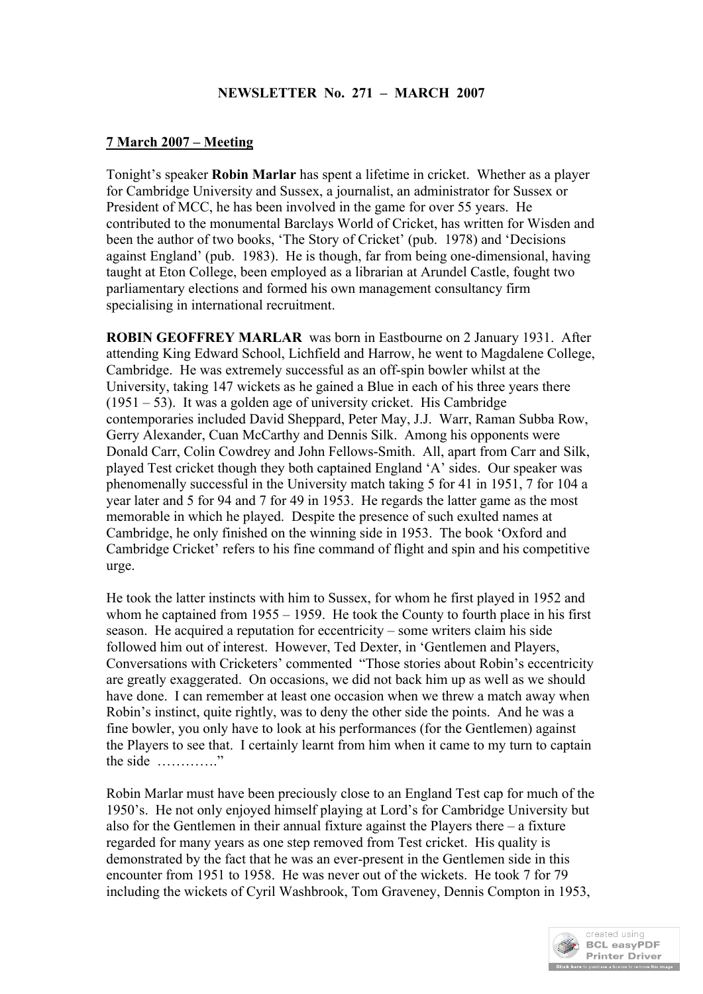## **NEWSLETTER No. 271 – MARCH 2007**

# **7 March 2007 – Meeting**

Tonight's speaker **Robin Marlar** has spent a lifetime in cricket. Whether as a player for Cambridge University and Sussex, a journalist, an administrator for Sussex or President of MCC, he has been involved in the game for over 55 years. He contributed to the monumental Barclays World of Cricket, has written for Wisden and been the author of two books, 'The Story of Cricket' (pub. 1978) and 'Decisions against England' (pub. 1983). He is though, far from being one-dimensional, having taught at Eton College, been employed as a librarian at Arundel Castle, fought two parliamentary elections and formed his own management consultancy firm specialising in international recruitment.

**ROBIN GEOFFREY MARLAR** was born in Eastbourne on 2 January 1931. After attending King Edward School, Lichfield and Harrow, he went to Magdalene College, Cambridge. He was extremely successful as an off-spin bowler whilst at the University, taking 147 wickets as he gained a Blue in each of his three years there  $(1951 – 53)$ . It was a golden age of university cricket. His Cambridge contemporaries included David Sheppard, Peter May, J.J. Warr, Raman Subba Row, Gerry Alexander, Cuan McCarthy and Dennis Silk. Among his opponents were Donald Carr, Colin Cowdrey and John Fellows-Smith. All, apart from Carr and Silk, played Test cricket though they both captained England 'A' sides. Our speaker was phenomenally successful in the University match taking 5 for 41 in 1951, 7 for 104 a year later and 5 for 94 and 7 for 49 in 1953. He regards the latter game as the most memorable in which he played. Despite the presence of such exulted names at Cambridge, he only finished on the winning side in 1953. The book 'Oxford and Cambridge Cricket' refers to his fine command of flight and spin and his competitive urge.

He took the latter instincts with him to Sussex, for whom he first played in 1952 and whom he captained from 1955 – 1959. He took the County to fourth place in his first season. He acquired a reputation for eccentricity – some writers claim his side followed him out of interest. However, Ted Dexter, in 'Gentlemen and Players, Conversations with Cricketers' commented "Those stories about Robin's eccentricity are greatly exaggerated. On occasions, we did not back him up as well as we should have done. I can remember at least one occasion when we threw a match away when Robin's instinct, quite rightly, was to deny the other side the points. And he was a fine bowler, you only have to look at his performances (for the Gentlemen) against the Players to see that. I certainly learnt from him when it came to my turn to captain the side …………."

Robin Marlar must have been preciously close to an England Test cap for much of the 1950's. He not only enjoyed himself playing at Lord's for Cambridge University but also for the Gentlemen in their annual fixture against the Players there – a fixture regarded for many years as one step removed from Test cricket. His quality is demonstrated by the fact that he was an ever-present in the Gentlemen side in this encounter from 1951 to 1958. He was never out of the wickets. He took 7 for 79 including the wickets of Cyril Washbrook, Tom Graveney, Dennis Compton in 1953,

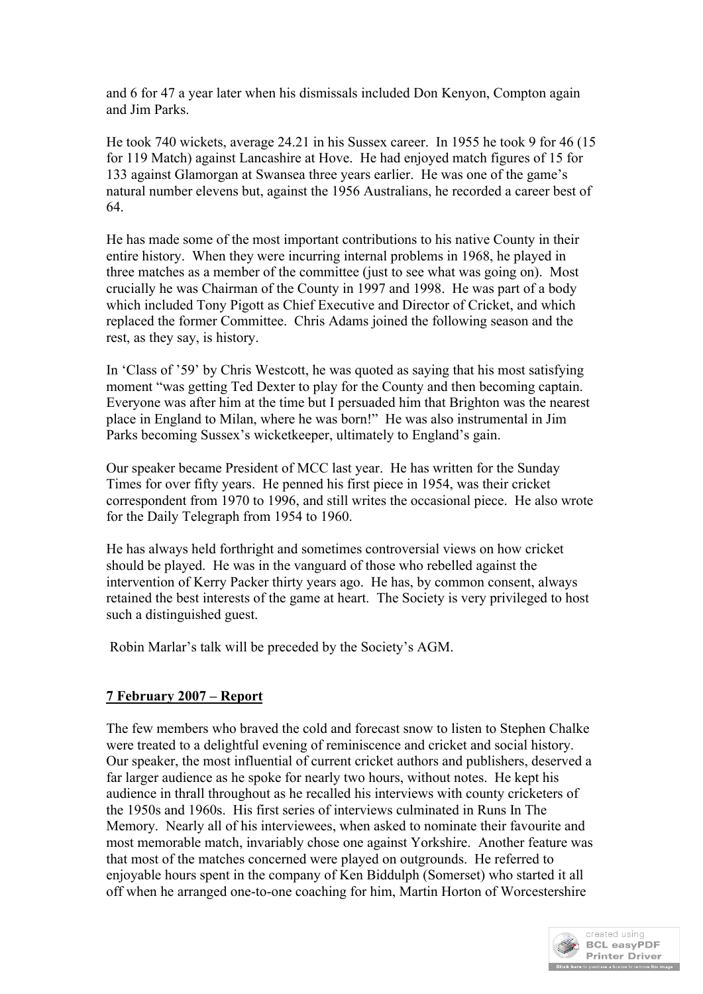and 6 for 47 a year later when his dismissals included Don Kenyon, Compton again and Jim Parks.

He took 740 wickets, average 24.21 in his Sussex career. In 1955 he took 9 for 46 (15 for 119 Match) against Lancashire at Hove. He had enjoyed match figures of 15 for 133 against Glamorgan at Swansea three years earlier. He was one of the game's natural number elevens but, against the 1956 Australians, he recorded a career best of 64.

He has made some of the most important contributions to his native County in their entire history. When they were incurring internal problems in 1968, he played in three matches as a member of the committee (just to see what was going on). Most crucially he was Chairman of the County in 1997 and 1998. He was part of a body which included Tony Pigott as Chief Executive and Director of Cricket, and which replaced the former Committee. Chris Adams joined the following season and the rest, as they say, is history.

In 'Class of '59' by Chris Westcott, he was quoted as saying that his most satisfying moment "was getting Ted Dexter to play for the County and then becoming captain. Everyone was after him at the time but I persuaded him that Brighton was the nearest place in England to Milan, where he was born!" He was also instrumental in Jim Parks becoming Sussex's wicketkeeper, ultimately to England's gain.

Our speaker became President of MCC last year. He has written for the Sunday Times for over fifty years. He penned his first piece in 1954, was their cricket correspondent from 1970 to 1996, and still writes the occasional piece. He also wrote for the Daily Telegraph from 1954 to 1960.

He has always held forthright and sometimes controversial views on how cricket should be played. He was in the vanguard of those who rebelled against the intervention of Kerry Packer thirty years ago. He has, by common consent, always retained the best interests of the game at heart. The Society is very privileged to host such a distinguished guest.

Robin Marlar's talk will be preceded by the Society's AGM.

# **7 February 2007 – Report**

The few members who braved the cold and forecast snow to listen to Stephen Chalke were treated to a delightful evening of reminiscence and cricket and social history. Our speaker, the most influential of current cricket authors and publishers, deserved a far larger audience as he spoke for nearly two hours, without notes. He kept his audience in thrall throughout as he recalled his interviews with county cricketers of the 1950s and 1960s. His first series of interviews culminated in Runs In The Memory. Nearly all of his interviewees, when asked to nominate their favourite and most memorable match, invariably chose one against Yorkshire. Another feature was that most of the matches concerned were played on outgrounds. He referred to enjoyable hours spent in the company of Ken Biddulph (Somerset) who started it all off when he arranged one-to-one coaching for him, Martin Horton of Worcestershire

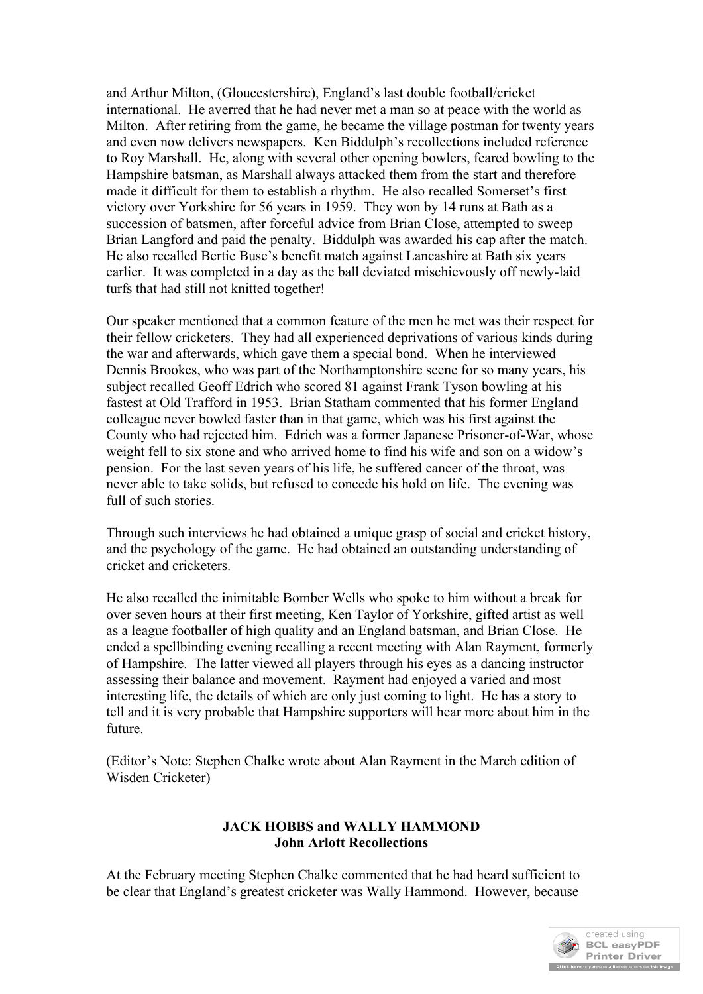and Arthur Milton, (Gloucestershire), England's last double football/cricket international. He averred that he had never met a man so at peace with the world as Milton. After retiring from the game, he became the village postman for twenty years and even now delivers newspapers. Ken Biddulph's recollections included reference to Roy Marshall. He, along with several other opening bowlers, feared bowling to the Hampshire batsman, as Marshall always attacked them from the start and therefore made it difficult for them to establish a rhythm. He also recalled Somerset's first victory over Yorkshire for 56 years in 1959. They won by 14 runs at Bath as a succession of batsmen, after forceful advice from Brian Close, attempted to sweep Brian Langford and paid the penalty. Biddulph was awarded his cap after the match. He also recalled Bertie Buse's benefit match against Lancashire at Bath six years earlier. It was completed in a day as the ball deviated mischievously off newly-laid turfs that had still not knitted together!

Our speaker mentioned that a common feature of the men he met was their respect for their fellow cricketers. They had all experienced deprivations of various kinds during the war and afterwards, which gave them a special bond. When he interviewed Dennis Brookes, who was part of the Northamptonshire scene for so many years, his subject recalled Geoff Edrich who scored 81 against Frank Tyson bowling at his fastest at Old Trafford in 1953. Brian Statham commented that his former England colleague never bowled faster than in that game, which was his first against the County who had rejected him. Edrich was a former Japanese Prisoner-of-War, whose weight fell to six stone and who arrived home to find his wife and son on a widow's pension. For the last seven years of his life, he suffered cancer of the throat, was never able to take solids, but refused to concede his hold on life. The evening was full of such stories.

Through such interviews he had obtained a unique grasp of social and cricket history, and the psychology of the game. He had obtained an outstanding understanding of cricket and cricketers.

He also recalled the inimitable Bomber Wells who spoke to him without a break for over seven hours at their first meeting, Ken Taylor of Yorkshire, gifted artist as well as a league footballer of high quality and an England batsman, and Brian Close. He ended a spellbinding evening recalling a recent meeting with Alan Rayment, formerly of Hampshire. The latter viewed all players through his eyes as a dancing instructor assessing their balance and movement. Rayment had enjoyed a varied and most interesting life, the details of which are only just coming to light. He has a story to tell and it is very probable that Hampshire supporters will hear more about him in the future.

(Editor's Note: Stephen Chalke wrote about Alan Rayment in the March edition of Wisden Cricketer)

### **JACK HOBBS and WALLY HAMMOND John Arlott Recollections**

At the February meeting Stephen Chalke commented that he had heard sufficient to be clear that England's greatest cricketer was Wally Hammond. However, because

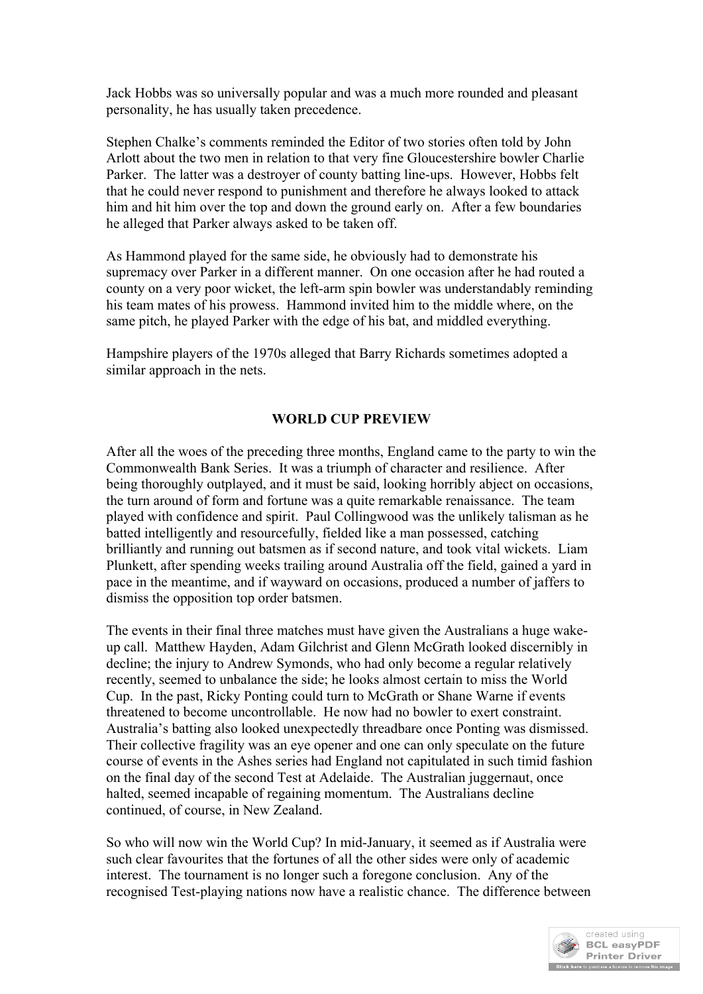Jack Hobbs was so universally popular and was a much more rounded and pleasant personality, he has usually taken precedence.

Stephen Chalke's comments reminded the Editor of two stories often told by John Arlott about the two men in relation to that very fine Gloucestershire bowler Charlie Parker. The latter was a destroyer of county batting line-ups. However, Hobbs felt that he could never respond to punishment and therefore he always looked to attack him and hit him over the top and down the ground early on. After a few boundaries he alleged that Parker always asked to be taken off.

As Hammond played for the same side, he obviously had to demonstrate his supremacy over Parker in a different manner. On one occasion after he had routed a county on a very poor wicket, the left-arm spin bowler was understandably reminding his team mates of his prowess. Hammond invited him to the middle where, on the same pitch, he played Parker with the edge of his bat, and middled everything.

Hampshire players of the 1970s alleged that Barry Richards sometimes adopted a similar approach in the nets.

### **WORLD CUP PREVIEW**

After all the woes of the preceding three months, England came to the party to win the Commonwealth Bank Series. It was a triumph of character and resilience. After being thoroughly outplayed, and it must be said, looking horribly abject on occasions, the turn around of form and fortune was a quite remarkable renaissance. The team played with confidence and spirit. Paul Collingwood was the unlikely talisman as he batted intelligently and resourcefully, fielded like a man possessed, catching brilliantly and running out batsmen as if second nature, and took vital wickets. Liam Plunkett, after spending weeks trailing around Australia off the field, gained a yard in pace in the meantime, and if wayward on occasions, produced a number of jaffers to dismiss the opposition top order batsmen.

The events in their final three matches must have given the Australians a huge wakeup call. Matthew Hayden, Adam Gilchrist and Glenn McGrath looked discernibly in decline; the injury to Andrew Symonds, who had only become a regular relatively recently, seemed to unbalance the side; he looks almost certain to miss the World Cup. In the past, Ricky Ponting could turn to McGrath or Shane Warne if events threatened to become uncontrollable. He now had no bowler to exert constraint. Australia's batting also looked unexpectedly threadbare once Ponting was dismissed. Their collective fragility was an eye opener and one can only speculate on the future course of events in the Ashes series had England not capitulated in such timid fashion on the final day of the second Test at Adelaide. The Australian juggernaut, once halted, seemed incapable of regaining momentum. The Australians decline continued, of course, in New Zealand.

So who will now win the World Cup? In mid-January, it seemed as if Australia were such clear favourites that the fortunes of all the other sides were only of academic interest. The tournament is no longer such a foregone conclusion. Any of the recognised Test-playing nations now have a realistic chance. The difference between

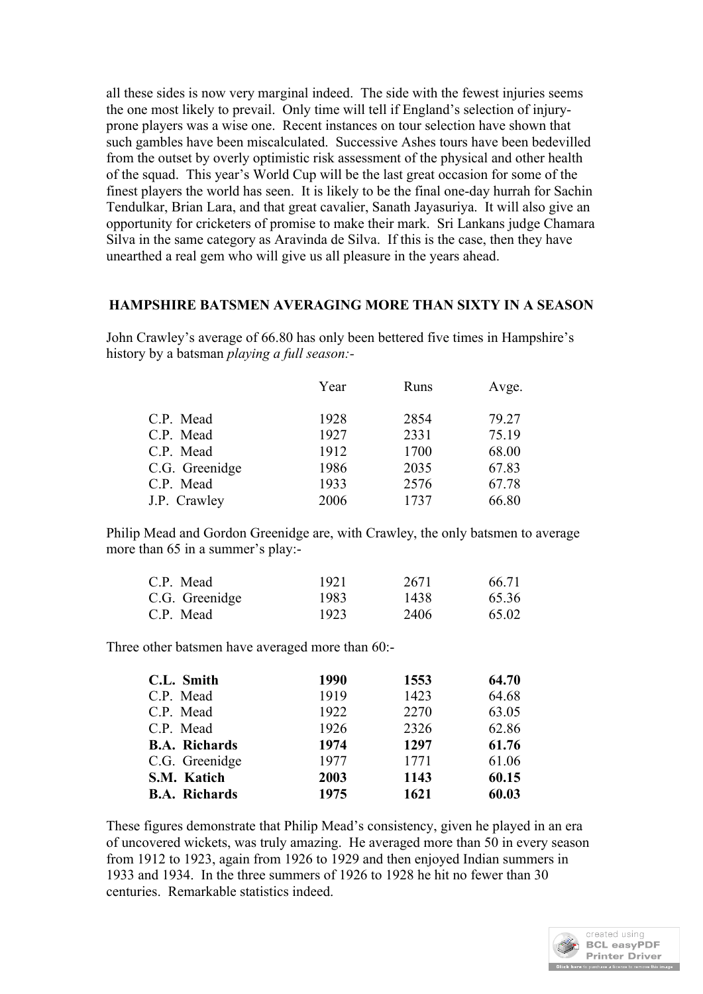all these sides is now very marginal indeed. The side with the fewest injuries seems the one most likely to prevail. Only time will tell if England's selection of injuryprone players was a wise one. Recent instances on tour selection have shown that such gambles have been miscalculated. Successive Ashes tours have been bedevilled from the outset by overly optimistic risk assessment of the physical and other health of the squad. This year's World Cup will be the last great occasion for some of the finest players the world has seen. It is likely to be the final one-day hurrah for Sachin Tendulkar, Brian Lara, and that great cavalier, Sanath Jayasuriya. It will also give an opportunity for cricketers of promise to make their mark. Sri Lankans judge Chamara Silva in the same category as Aravinda de Silva. If this is the case, then they have unearthed a real gem who will give us all pleasure in the years ahead.

#### **HAMPSHIRE BATSMEN AVERAGING MORE THAN SIXTY IN A SEASON**

John Crawley's average of 66.80 has only been bettered five times in Hampshire's history by a batsman *playing a full season:-*

|                | Year | Runs | Avge. |
|----------------|------|------|-------|
| C.P. Mead      | 1928 | 2854 | 79.27 |
| C.P. Mead      | 1927 | 2331 | 75.19 |
| C.P. Mead      | 1912 | 1700 | 68.00 |
| C.G. Greenidge | 1986 | 2035 | 67.83 |
| C.P. Mead      | 1933 | 2576 | 67.78 |
| J.P. Crawley   | 2006 | 1737 | 66.80 |

Philip Mead and Gordon Greenidge are, with Crawley, the only batsmen to average more than 65 in a summer's play:-

| C.P. Mead<br>C.G. Greenidge | 1921  | 2671<br>1438 | 66.71<br>65.36 |
|-----------------------------|-------|--------------|----------------|
|                             | 1983. |              |                |
| C.P. Mead                   | 1923  | 2406         | 65.02          |

Three other batsmen have averaged more than 60:-

| C.L. Smith           | 1990 | 1553 | 64.70 |
|----------------------|------|------|-------|
| C.P. Mead            | 1919 | 1423 | 64.68 |
| C.P. Mead            | 1922 | 2270 | 63.05 |
| C.P. Mead            | 1926 | 2326 | 62.86 |
| <b>B.A. Richards</b> | 1974 | 1297 | 61.76 |
| C.G. Greenidge       | 1977 | 1771 | 61.06 |
| S.M. Katich          | 2003 | 1143 | 60.15 |
| <b>B.A. Richards</b> | 1975 | 1621 | 60.03 |

These figures demonstrate that Philip Mead's consistency, given he played in an era of uncovered wickets, was truly amazing. He averaged more than 50 in every season from 1912 to 1923, again from 1926 to 1929 and then enjoyed Indian summers in 1933 and 1934. In the three summers of 1926 to 1928 he hit no fewer than 30 centuries. Remarkable statistics indeed.